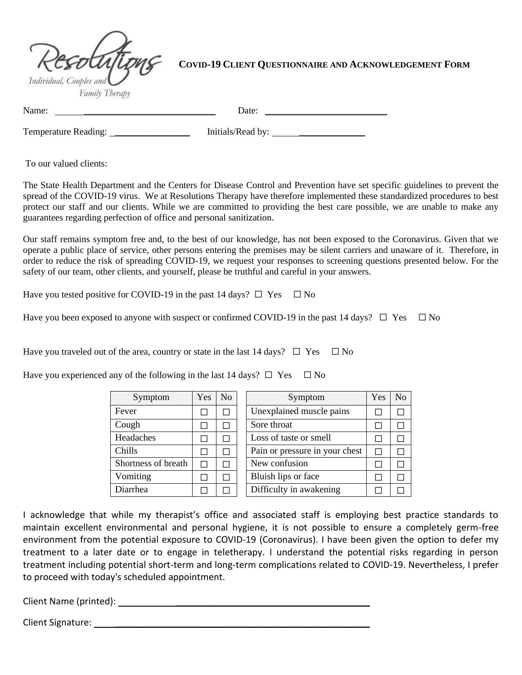

# **COVID-19 CLIENT QUESTIONNAIRE AND ACKNOWLEDGEMENT FORM**

Name: \_\_\_\_\_\_\_\_\_\_\_\_\_\_\_\_\_\_\_\_\_\_\_\_\_\_\_\_ Date: \_\_\_\_\_\_\_\_\_\_\_\_\_\_\_\_\_\_\_\_\_\_\_\_\_\_

Temperature Reading: The Initials/Read by:

To our valued clients:

The State Health Department and the Centers for Disease Control and Prevention have set specific guidelines to prevent the spread of the COVID-19 virus. We at Resolutions Therapy have therefore implemented these standardized procedures to best protect our staff and our clients. While we are committed to providing the best care possible, we are unable to make any guarantees regarding perfection of office and personal sanitization.

Our staff remains symptom free and, to the best of our knowledge, has not been exposed to the Coronavirus. Given that we operate a public place of service, other persons entering the premises may be silent carriers and unaware of it. Therefore, in order to reduce the risk of spreading COVID-19, we request your responses to screening questions presented below. For the safety of our team, other clients, and yourself, please be truthful and careful in your answers.

Have you tested positive for COVID-19 in the past 14 days?  $\Box$  Yes  $\Box$  No

Have you been exposed to anyone with suspect or confirmed COVID-19 in the past 14 days?  $\Box$  Yes  $\Box$  No

Have you traveled out of the area, country or state in the last 14 days?  $\Box$  Yes  $\Box$  No

Have you experienced any of the following in the last 14 days?  $\Box$  Yes  $\Box$  No

| Symptom             | Yes | N <sub>0</sub> |
|---------------------|-----|----------------|
| Fever               |     |                |
| Cough               |     |                |
| Headaches           |     |                |
| Chills              |     |                |
| Shortness of breath | ×.  |                |
| Vomiting            |     |                |
| Diarrhea            |     |                |

| Symptom             | Yes | No | Symptom                        | Yes | No |
|---------------------|-----|----|--------------------------------|-----|----|
| Fever               |     |    | Unexplained muscle pains       |     |    |
| Cough               |     |    | Sore throat                    |     |    |
| Headaches           |     |    | Loss of taste or smell         |     |    |
| Chills              |     |    | Pain or pressure in your chest |     |    |
| Shortness of breath |     |    | New confusion                  |     |    |
| Vomiting            |     |    | Bluish lips or face            |     |    |
| Diarrhea            |     |    | Difficulty in awakening        |     |    |

I acknowledge that while my therapist's office and associated staff is employing best practice standards to maintain excellent environmental and personal hygiene, it is not possible to ensure a completely germ-free environment from the potential exposure to COVID-19 (Coronavirus). I have been given the option to defer my treatment to a later date or to engage in teletherapy. I understand the potential risks regarding in person treatment including potential short-term and long-term complications related to COVID-19. Nevertheless, I prefer to proceed with today's scheduled appointment.

Client Name (printed): \_\_\_\_\_\_\_\_\_\_\_\_\_\_\_\_\_\_\_\_\_\_\_\_\_\_\_\_\_\_\_\_\_\_\_\_\_\_

Client Signature: \_\_\_\_\_\_\_\_\_\_\_\_\_\_\_\_\_\_\_\_\_\_\_\_\_\_\_\_\_\_\_\_\_\_\_\_\_\_\_\_\_\_\_\_\_\_\_\_\_\_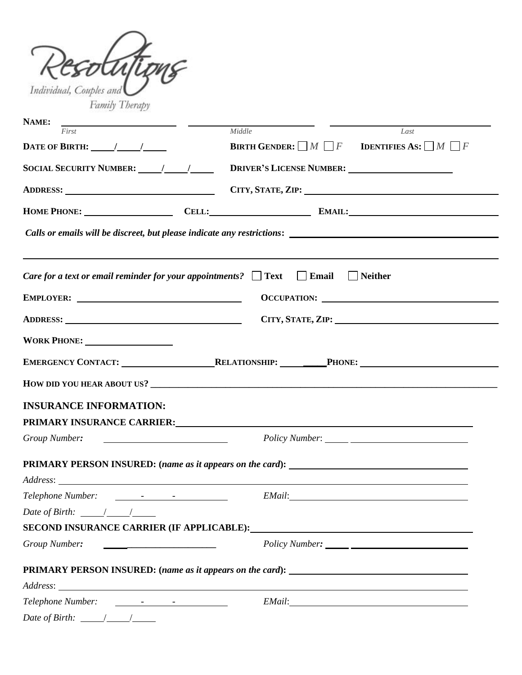| Individual, Couples and<br>Family Therapy                                                                                                                                                                                     |                                                                                                                                                                                                                                |
|-------------------------------------------------------------------------------------------------------------------------------------------------------------------------------------------------------------------------------|--------------------------------------------------------------------------------------------------------------------------------------------------------------------------------------------------------------------------------|
| <u> 1989 - Johann Barn, fransk politik (</u><br>NAME:                                                                                                                                                                         |                                                                                                                                                                                                                                |
| First                                                                                                                                                                                                                         | Middle<br>Last                                                                                                                                                                                                                 |
| DATE OF BIRTH: $\frac{1}{\sqrt{1-\frac{1}{2}}}}$                                                                                                                                                                              | <b>BIRTH GENDER:</b> $\Box M \Box F$ <b>IDENTIFIES AS:</b> $\Box M \Box F$                                                                                                                                                     |
|                                                                                                                                                                                                                               |                                                                                                                                                                                                                                |
|                                                                                                                                                                                                                               | ADDRESS: CITY, STATE, ZIP:                                                                                                                                                                                                     |
|                                                                                                                                                                                                                               | HOME PHONE: CELL: CELL: EMAIL:                                                                                                                                                                                                 |
|                                                                                                                                                                                                                               |                                                                                                                                                                                                                                |
|                                                                                                                                                                                                                               | <i>Care for a text or email reminder for your appointments?</i> $\Box$ Text $\Box$ Email $\Box$ Neither                                                                                                                        |
|                                                                                                                                                                                                                               |                                                                                                                                                                                                                                |
| ADDRESS: New York Contract to the Contract of the Contract of the Contract of the Contract of the Contract of the Contract of the Contract of the Contract of the Contract of the Contract of the Contract of the Contract of | CITY, STATE, ZIP: No. 1997                                                                                                                                                                                                     |
|                                                                                                                                                                                                                               |                                                                                                                                                                                                                                |
|                                                                                                                                                                                                                               | EMERGENCY CONTACT: RELATIONSHIP: PHONE: PHONE:                                                                                                                                                                                 |
|                                                                                                                                                                                                                               |                                                                                                                                                                                                                                |
| <b>INSURANCE INFORMATION:</b>                                                                                                                                                                                                 |                                                                                                                                                                                                                                |
| PRIMARY INSURANCE CARRIER:                                                                                                                                                                                                    |                                                                                                                                                                                                                                |
| Group Number:                                                                                                                                                                                                                 |                                                                                                                                                                                                                                |
|                                                                                                                                                                                                                               | PRIMARY PERSON INSURED: (name as it appears on the card): _______________________                                                                                                                                              |
|                                                                                                                                                                                                                               |                                                                                                                                                                                                                                |
|                                                                                                                                                                                                                               |                                                                                                                                                                                                                                |
| Date of Birth: $\frac{1}{2}$ /                                                                                                                                                                                                |                                                                                                                                                                                                                                |
|                                                                                                                                                                                                                               | SECOND INSURANCE CARRIER (IF APPLICABLE): University of the set of the set of the set of the set of the set of the set of the set of the set of the set of the set of the set of the set of the set of the set of the set of t |
| Group Number:                                                                                                                                                                                                                 |                                                                                                                                                                                                                                |
|                                                                                                                                                                                                                               | PRIMARY PERSON INSURED: (name as it appears on the card): _______________________                                                                                                                                              |
|                                                                                                                                                                                                                               |                                                                                                                                                                                                                                |
| Date of Birth: $\frac{1}{\sqrt{1-\frac{1}{n}}}$                                                                                                                                                                               |                                                                                                                                                                                                                                |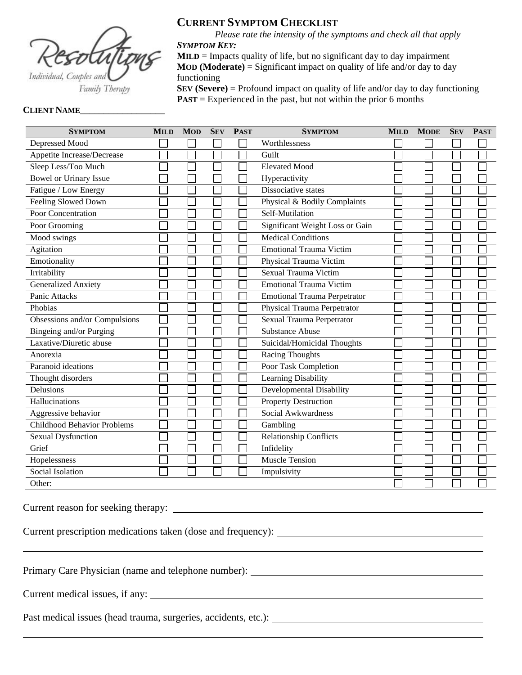

**CURRENT SYMPTOM CHECKLIST**

*Please rate the intensity of the symptoms and check all that apply SYMPTOM KEY:*

 $MILD = Impacts quality of life, but no significant day to day impairment$ **MOD (Moderate)** = Significant impact on quality of life and/or day to day functioning

**SEV (Severe)** = Profound impact on quality of life and/or day to day functioning **PAST** = Experienced in the past, but not within the prior 6 months

#### **CLIENT NAME\_\_\_\_\_\_\_\_\_\_\_\_\_\_\_\_\_\_**

| <b>SYMPTOM</b>                     | <b>MILD</b> | <b>MOD</b> | <b>SEV</b> | <b>PAST</b> | <b>SYMPTOM</b>                      | <b>MILD</b> | <b>MODE</b> | <b>SEV</b> | <b>PAST</b> |
|------------------------------------|-------------|------------|------------|-------------|-------------------------------------|-------------|-------------|------------|-------------|
| Depressed Mood                     |             |            |            |             | Worthlessness                       |             |             |            |             |
| Appetite Increase/Decrease         |             |            |            |             | Guilt                               |             |             |            |             |
| Sleep Less/Too Much                |             |            |            |             | <b>Elevated Mood</b>                |             |             |            |             |
| <b>Bowel or Urinary Issue</b>      |             |            |            |             | Hyperactivity                       |             |             |            |             |
| Fatigue / Low Energy               |             |            |            |             | Dissociative states                 |             |             |            |             |
| Feeling Slowed Down                |             |            |            |             | Physical & Bodily Complaints        |             |             |            |             |
| Poor Concentration                 |             |            |            |             | Self-Mutilation                     |             |             |            |             |
| Poor Grooming                      |             |            |            |             | Significant Weight Loss or Gain     |             |             |            |             |
| Mood swings                        |             |            |            |             | <b>Medical Conditions</b>           |             |             |            |             |
| Agitation                          |             |            |            |             | <b>Emotional Trauma Victim</b>      |             |             |            |             |
| Emotionality                       |             |            |            |             | Physical Trauma Victim              |             |             |            |             |
| Irritability                       |             |            |            |             | <b>Sexual Trauma Victim</b>         |             |             |            |             |
| <b>Generalized Anxiety</b>         |             |            |            |             | <b>Emotional Trauma Victim</b>      |             |             |            |             |
| <b>Panic Attacks</b>               |             |            |            |             | <b>Emotional Trauma Perpetrator</b> |             |             |            |             |
| Phobias                            |             |            |            |             | Physical Trauma Perpetrator         |             |             |            |             |
| Obsessions and/or Compulsions      |             |            |            |             | Sexual Trauma Perpetrator           |             |             |            |             |
| Bingeing and/or Purging            |             |            |            |             | <b>Substance Abuse</b>              |             |             |            |             |
| Laxative/Diuretic abuse            |             |            |            |             | Suicidal/Homicidal Thoughts         |             |             |            |             |
| Anorexia                           |             |            |            |             | <b>Racing Thoughts</b>              |             |             |            |             |
| Paranoid ideations                 |             |            |            |             | Poor Task Completion                |             |             |            |             |
| Thought disorders                  |             |            |            |             | Learning Disability                 |             |             |            |             |
| Delusions                          |             |            |            |             | Developmental Disability            |             |             |            |             |
| Hallucinations                     |             |            |            |             | <b>Property Destruction</b>         |             |             |            |             |
| Aggressive behavior                |             |            |            |             | Social Awkwardness                  |             |             |            |             |
| <b>Childhood Behavior Problems</b> |             |            |            |             | Gambling                            |             |             |            |             |
| <b>Sexual Dysfunction</b>          |             |            |            |             | <b>Relationship Conflicts</b>       |             |             |            |             |
| Grief                              |             |            |            |             | Infidelity                          |             |             |            |             |
| Hopelessness                       |             |            |            |             | <b>Muscle Tension</b>               |             |             |            |             |
| Social Isolation                   |             |            |            |             | Impulsivity                         |             |             |            |             |
| Other:                             |             |            |            |             |                                     |             |             |            |             |

Current reason for seeking therapy:

Current prescription medications taken (dose and frequency):

Primary Care Physician (name and telephone number): \_\_\_\_\_\_\_\_\_\_\_\_\_\_\_\_\_\_\_\_\_\_\_\_\_\_\_\_\_

Current medical issues, if any:

Past medical issues (head trauma, surgeries, accidents, etc.):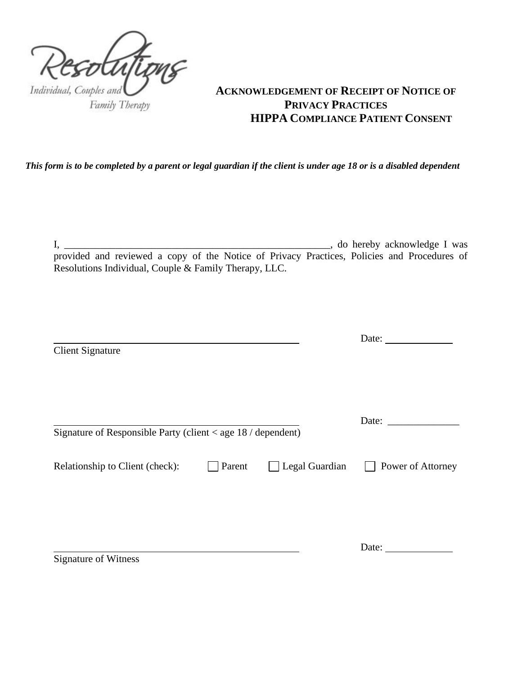

# **ACKNOWLEDGEMENT OF RECEIPT OF NOTICE OF PRIVACY PRACTICES HIPPA COMPLIANCE PATIENT CONSENT**

*This form is to be completed by a parent or legal guardian if the client is under age 18 or is a disabled dependent*

I, \_\_\_\_\_\_\_\_\_\_\_\_\_\_\_\_\_\_\_\_\_\_\_\_\_\_\_\_\_\_\_\_\_\_\_\_\_\_\_\_\_\_\_\_\_\_\_\_\_\_\_\_, do hereby acknowledge I was provided and reviewed a copy of the Notice of Privacy Practices, Policies and Procedures of Resolutions Individual, Couple & Family Therapy, LLC.

|                                                              |        |                       | Date: $\frac{1}{\sqrt{1-\frac{1}{2}}\cdot\frac{1}{\sqrt{1-\frac{1}{2}}}}$ |
|--------------------------------------------------------------|--------|-----------------------|---------------------------------------------------------------------------|
| <b>Client Signature</b>                                      |        |                       |                                                                           |
|                                                              |        |                       |                                                                           |
|                                                              |        |                       |                                                                           |
|                                                              |        |                       |                                                                           |
|                                                              |        |                       |                                                                           |
| Signature of Responsible Party (client < age 18 / dependent) |        |                       |                                                                           |
| Relationship to Client (check):                              | Parent | $\Box$ Legal Guardian | Power of Attorney                                                         |
|                                                              |        |                       |                                                                           |
|                                                              |        |                       |                                                                           |
|                                                              |        |                       |                                                                           |
|                                                              |        |                       | Date:                                                                     |
| <b>Signature of Witness</b>                                  |        |                       |                                                                           |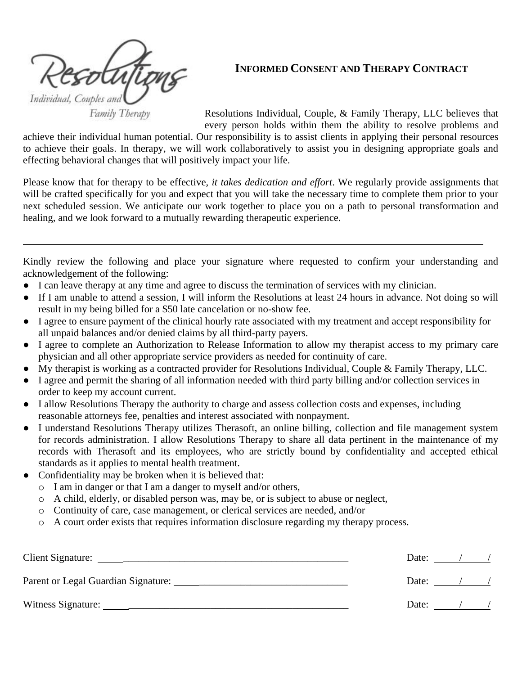Individual, Couples and

**INFORMED CONSENT AND THERAPY CONTRACT**

Family Therapy

Resolutions Individual, Couple, & Family Therapy, LLC believes that every person holds within them the ability to resolve problems and

achieve their individual human potential. Our responsibility is to assist clients in applying their personal resources to achieve their goals. In therapy, we will work collaboratively to assist you in designing appropriate goals and effecting behavioral changes that will positively impact your life.

Please know that for therapy to be effective, *it takes dedication and effort*. We regularly provide assignments that will be crafted specifically for you and expect that you will take the necessary time to complete them prior to your next scheduled session. We anticipate our work together to place you on a path to personal transformation and healing, and we look forward to a mutually rewarding therapeutic experience.

Kindly review the following and place your signature where requested to confirm your understanding and acknowledgement of the following:

- I can leave therapy at any time and agree to discuss the termination of services with my clinician.
- If I am unable to attend a session, I will inform the Resolutions at least 24 hours in advance. Not doing so will result in my being billed for a \$50 late cancelation or no-show fee.
- I agree to ensure payment of the clinical hourly rate associated with my treatment and accept responsibility for all unpaid balances and/or denied claims by all third-party payers.
- I agree to complete an Authorization to Release Information to allow my therapist access to my primary care physician and all other appropriate service providers as needed for continuity of care.
- My therapist is working as a contracted provider for Resolutions Individual, Couple & Family Therapy, LLC.
- I agree and permit the sharing of all information needed with third party billing and/or collection services in order to keep my account current.
- I allow Resolutions Therapy the authority to charge and assess collection costs and expenses, including reasonable attorneys fee, penalties and interest associated with nonpayment.
- I understand Resolutions Therapy utilizes Therasoft, an online billing, collection and file management system for records administration. I allow Resolutions Therapy to share all data pertinent in the maintenance of my records with Therasoft and its employees, who are strictly bound by confidentiality and accepted ethical standards as it applies to mental health treatment.
- Confidentiality may be broken when it is believed that:
	- o I am in danger or that I am a danger to myself and/or others,
	- o A child, elderly, or disabled person was, may be, or is subject to abuse or neglect,
	- o Continuity of care, case management, or clerical services are needed, and/or
	- o A court order exists that requires information disclosure regarding my therapy process.

| Client Signature:  | Date: |         |  |
|--------------------|-------|---------|--|
|                    | Date: |         |  |
| Witness Signature: |       | Date: / |  |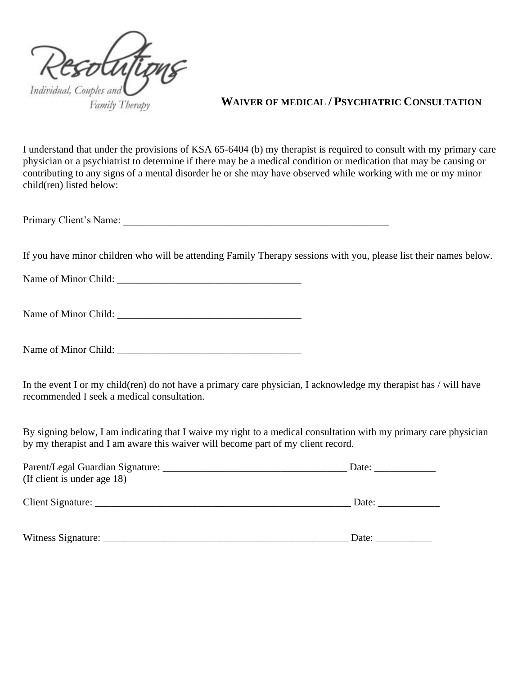

# **WAIVER OF MEDICAL / PSYCHIATRIC CONSULTATION**

I understand that under the provisions of KSA 65-6404 (b) my therapist is required to consult with my primary care physician or a psychiatrist to determine if there may be a medical condition or medication that may be causing or contributing to any signs of a mental disorder he or she may have observed while working with me or my minor child(ren) listed below:

Primary Client's Name:

If you have minor children who will be attending Family Therapy sessions with you, please list their names below.

Name of Minor Child: \_\_\_\_\_\_\_\_\_\_\_\_\_\_\_\_\_\_\_\_\_\_\_\_\_\_\_\_\_\_\_\_\_\_\_\_

Name of Minor Child:

Name of Minor Child: \_\_\_\_\_\_\_\_\_\_\_\_\_\_\_\_\_\_\_\_\_\_\_\_\_\_\_\_\_\_\_\_\_\_\_\_

In the event I or my child(ren) do not have a primary care physician, I acknowledge my therapist has / will have recommended I seek a medical consultation.

By signing below, I am indicating that I waive my right to a medical consultation with my primary care physician by my therapist and I am aware this waiver will become part of my client record.

| Parent/Legal Guardian Signature: |       |
|----------------------------------|-------|
| (If client is under age 18)      |       |
|                                  | Date: |
| Witness Signature:               | Date: |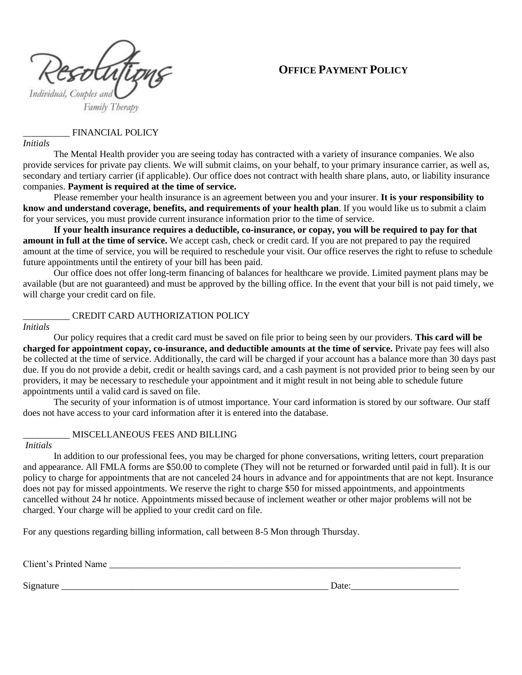



#### \_\_\_\_\_\_\_\_\_\_ FINANCIAL POLICY

*Initials* 

The Mental Health provider you are seeing today has contracted with a variety of insurance companies. We also provide services for private pay clients. We will submit claims, on your behalf, to your primary insurance carrier, as well as, secondary and tertiary carrier (if applicable). Our office does not contract with health share plans, auto, or liability insurance companies. **Payment is required at the time of service.** 

Please remember your health insurance is an agreement between you and your insurer. **It is your responsibility to know and understand coverage, benefits, and requirements of your health plan**. If you would like us to submit a claim for your services, you must provide current insurance information prior to the time of service.

**If your health insurance requires a deductible, co-insurance, or copay, you will be required to pay for that amount in full at the time of service.** We accept cash, check or credit card. If you are not prepared to pay the required amount at the time of service, you will be required to reschedule your visit. Our office reserves the right to refuse to schedule future appointments until the entirety of your bill has been paid.

Our office does not offer long-term financing of balances for healthcare we provide. Limited payment plans may be available (but are not guaranteed) and must be approved by the billing office. In the event that your bill is not paid timely, we will charge your credit card on file.

#### \_\_\_\_\_\_\_\_\_\_ CREDIT CARD AUTHORIZATION POLICY

#### *Initials*

Our policy requires that a credit card must be saved on file prior to being seen by our providers. **This card will be charged for appointment copay, co-insurance, and deductible amounts at the time of service.** Private pay fees will also be collected at the time of service. Additionally, the card will be charged if your account has a balance more than 30 days past due. If you do not provide a debit, credit or health savings card, and a cash payment is not provided prior to being seen by our providers, it may be necessary to reschedule your appointment and it might result in not being able to schedule future appointments until a valid card is saved on file.

The security of your information is of utmost importance. Your card information is stored by our software. Our staff does not have access to your card information after it is entered into the database.

#### \_\_\_\_\_\_\_\_\_\_ MISCELLANEOUS FEES AND BILLING

#### *Initials*

In addition to our professional fees, you may be charged for phone conversations, writing letters, court preparation and appearance. All FMLA forms are \$50.00 to complete (They will not be returned or forwarded until paid in full). It is our policy to charge for appointments that are not canceled 24 hours in advance and for appointments that are not kept. Insurance does not pay for missed appointments. We reserve the right to charge \$50 for missed appointments, and appointments cancelled without 24 hr notice. Appointments missed because of inclement weather or other major problems will not be charged. Your charge will be applied to your credit card on file.

For any questions regarding billing information, call between 8-5 Mon through Thursday.

Client's Printed Name \_\_\_\_\_\_\_\_\_\_\_\_\_\_\_\_\_\_\_\_\_\_\_\_\_\_\_\_\_\_\_\_\_\_\_\_\_\_\_\_\_\_\_\_\_\_\_\_\_\_\_\_\_\_\_\_\_\_\_\_\_\_\_\_\_\_\_\_\_\_\_\_\_\_\_